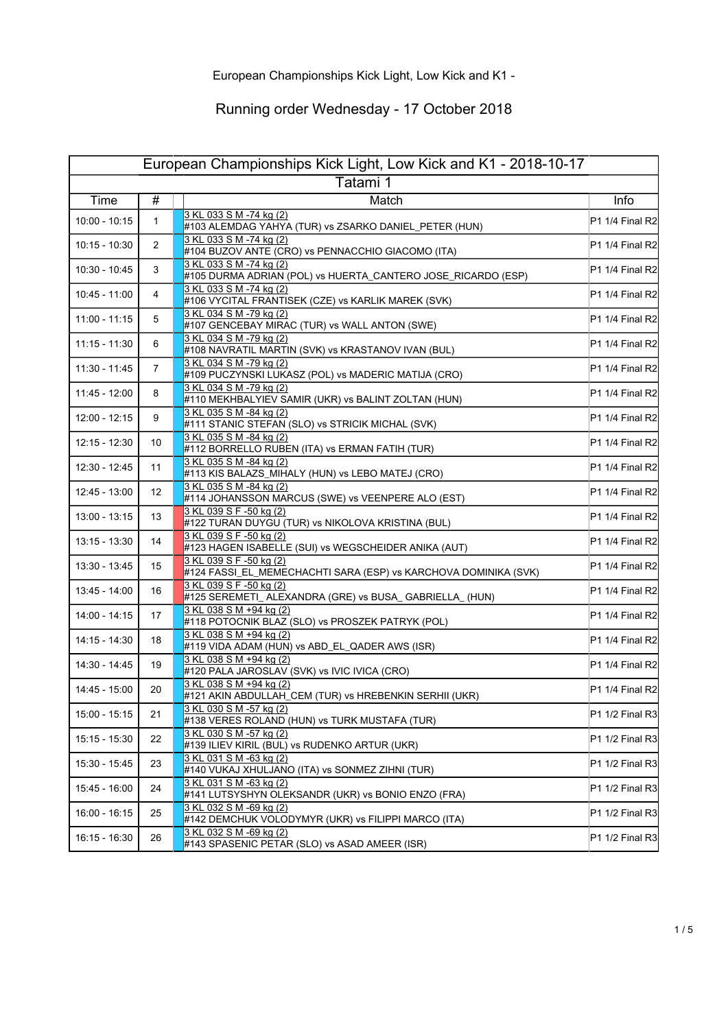| European Championships Kick Light, Low Kick and K1 - 2018-10-17 |                 |                                                                                            |                   |
|-----------------------------------------------------------------|-----------------|--------------------------------------------------------------------------------------------|-------------------|
| Tatami 1                                                        |                 |                                                                                            |                   |
| Time                                                            | #               | Match                                                                                      | Info              |
| $10:00 - 10:15$                                                 | 1               | 3 KL 033 S M -74 kg (2)<br>#103 ALEMDAG YAHYA (TUR) vs ZSARKO DANIEL_PETER (HUN)           | P1 1/4 Final R2   |
| $10:15 - 10:30$                                                 | $\overline{2}$  | 3 KL 033 S M -74 kg (2)<br>#104 BUZOV ANTE (CRO) vs PENNACCHIO GIACOMO (ITA)               | P1 1/4 Final R2   |
| 10:30 - 10:45                                                   | 3               | 3 KL 033 S M -74 kg (2)<br>#105 DURMA ADRIAN (POL) vs HUERTA_CANTERO JOSE_RICARDO (ESP)    | $P1 1/4$ Final R2 |
| 10:45 - 11:00                                                   | 4               | 3 KL 033 S M -74 kg (2)<br>#106 VYCITAL FRANTISEK (CZE) vs KARLIK MAREK (SVK)              | P1 1/4 Final R2   |
| 11:00 - 11:15                                                   | 5               | 3 KL 034 S M -79 kg (2)<br>#107 GENCEBAY MIRAC (TUR) vs WALL ANTON (SWE)                   | P1 1/4 Final R2   |
| $11:15 - 11:30$                                                 | 6               | 3 KL 034 S M -79 kg (2)<br>#108 NAVRATIL MARTIN (SVK) vs KRASTANOV IVAN (BUL)              | P1 1/4 Final R2   |
| 11:30 - 11:45                                                   | $\overline{7}$  | 3 KL 034 S M -79 kg (2)<br>#109 PUCZYNSKI LUKASZ (POL) vs MADERIC MATIJA (CRO)             | P1 1/4 Final R2   |
| 11:45 - 12:00                                                   | 8               | 3 KL 034 S M -79 kg (2)<br>#110 MEKHBALYIEV SAMIR (UKR) vs BALINT ZOLTAN (HUN)             | P1 1/4 Final R2   |
| 12:00 - 12:15                                                   | 9               | 3 KL 035 S M -84 kg (2)<br>#111 STANIC STEFAN (SLO) vs STRICIK MICHAL (SVK)                | P1 1/4 Final R2   |
| 12:15 - 12:30                                                   | 10              | 3 KL 035 S M -84 kg (2)<br>#112 BORRELLO RUBEN (ITA) vs ERMAN FATIH (TUR)                  | P1 1/4 Final R2   |
| 12:30 - 12:45                                                   | 11              | 3 KL 035 S M -84 kg (2)<br>#113 KIS BALAZS_MIHALY (HUN) vs LEBO MATEJ (CRO)                | P1 1/4 Final R2   |
| 12:45 - 13:00                                                   | 12 <sup>°</sup> | 3 KL 035 S M -84 ka (2)<br>#114 JOHANSSON MARCUS (SWE) vs VEENPERE ALO (EST)               | P1 1/4 Final R2   |
| 13:00 - 13:15                                                   | 13              | 3 KL 039 S F -50 kg (2)<br>#122 TURAN DUYGU (TUR) vs NIKOLOVA KRISTINA (BUL)               | P1 1/4 Final R2   |
| 13:15 - 13:30                                                   | 14              | 3 KL 039 S F -50 kg (2)<br>#123 HAGEN ISABELLE (SUI) vs WEGSCHEIDER ANIKA (AUT)            | P1 1/4 Final R2   |
| 13:30 - 13:45                                                   | 15              | 3 KL 039 S F -50 kg (2)<br>#124 FASSI_EL_MEMECHACHTI SARA (ESP) vs KARCHOVA DOMINIKA (SVK) | P1 1/4 Final R2   |
| 13:45 - 14:00                                                   | 16              | 3 KL 039 S F -50 kg (2)<br>#125 SEREMETI_ ALEXANDRA (GRE) vs BUSA_ GABRIELLA_ (HUN)        | P1 1/4 Final R2   |
| 14:00 - 14:15                                                   | 17              | 3 KL 038 S M +94 kg (2)<br>#118 POTOCNIK BLAZ (SLO) vs PROSZEK PATRYK (POL)                | P1 1/4 Final R2   |
| 14:15 - 14:30                                                   | 18              | 3 KL 038 S M +94 kg (2)<br>#119 VIDA ADAM (HUN) vs ABD_EL_QADER AWS (ISR)                  | P1 1/4 Final R2   |
| 14:30 - 14:45                                                   | 19              | 3 KL 038 S M +94 kg (2)<br>#120 PALA JAROSLAV (SVK) vs IVIC IVICA (CRO)                    | P1 1/4 Final R2   |
| 14:45 - 15:00                                                   | 20              | 3 KL 038 S M +94 kg (2)<br>#121 AKIN ABDULLAH_CEM (TUR) vs HREBENKIN SERHII (UKR)          | P1 1/4 Final R2   |
| 15:00 - 15:15                                                   | 21              | 3 KL 030 S M -57 kg (2)<br>#138 VERES ROLAND (HUN) vs TURK MUSTAFA (TUR)                   | $P1 1/2$ Final R3 |
| 15:15 - 15:30                                                   | 22              | 3 KL 030 S M -57 kg (2)<br>#139 ILIEV KIRIL (BUL) vs RUDENKO ARTUR (UKR)                   | $P1 1/2$ Final R3 |
| 15:30 - 15:45                                                   | 23              | 3 KL 031 S M -63 kg (2)<br>#140 VUKAJ XHULJANO (ITA) vs SONMEZ ZIHNI (TUR)                 | P1 1/2 Final R3   |
| 15:45 - 16:00                                                   | 24              | 3 KL 031 S M -63 kg (2)<br>#141 LUTSYSHYN OLEKSANDR (UKR) vs BONIO ENZO (FRA)              | P1 1/2 Final R3   |
| 16:00 - 16:15                                                   | 25              | 3 KL 032 S M -69 kg (2)<br>#142 DEMCHUK VOLODYMYR (UKR) vs FILIPPI MARCO (ITA)             | $P1 1/2$ Final R3 |
| $16:15 - 16:30$                                                 | 26              | 3 KL 032 S M -69 kg (2)<br>#143 SPASENIC PETAR (SLO) vs ASAD AMEER (ISR)                   | $P1 1/2$ Final R3 |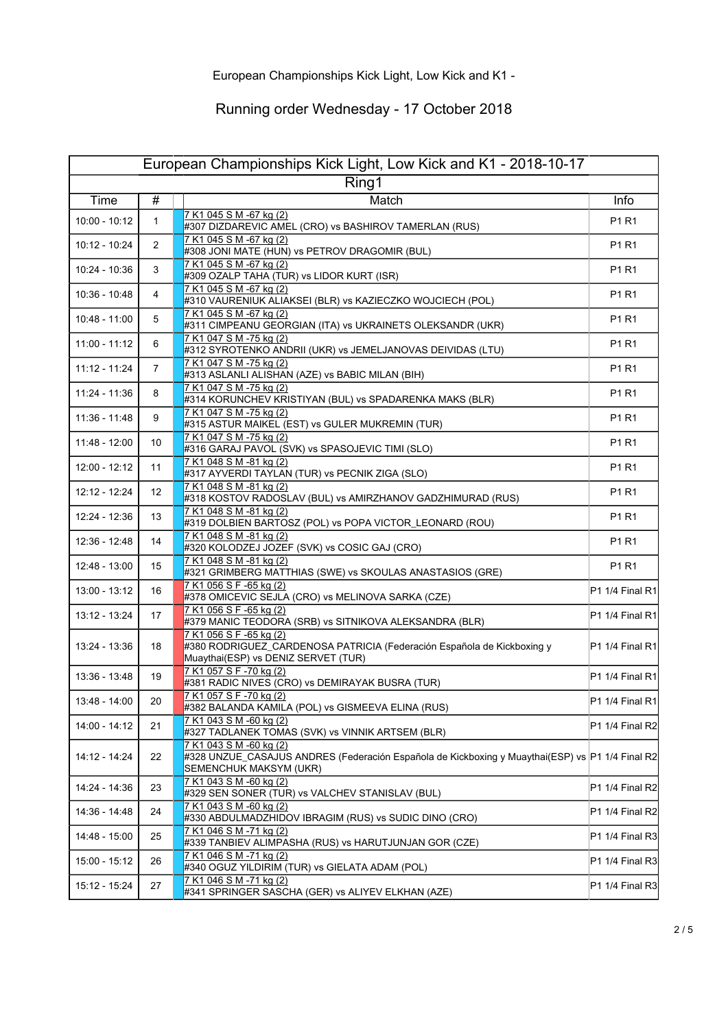| European Championships Kick Light, Low Kick and K1 - 2018-10-17 |                 |                                                                                                                                                        |                   |
|-----------------------------------------------------------------|-----------------|--------------------------------------------------------------------------------------------------------------------------------------------------------|-------------------|
| Ring1                                                           |                 |                                                                                                                                                        |                   |
| Time                                                            | #               | Match                                                                                                                                                  | Info              |
| $10:00 - 10:12$                                                 | $\mathbf{1}$    | 7 K1 045 S M -67 kg (2)<br>#307 DIZDAREVIC AMEL (CRO) vs BASHIROV TAMERLAN (RUS)                                                                       | P1 R1             |
| 10:12 - 10:24                                                   | 2               | 7 K1 045 S M -67 kg (2)<br>#308 JONI MATE (HUN) vs PETROV DRAGOMIR (BUL)                                                                               | P1 R1             |
| 10:24 - 10:36                                                   | 3               | 7 K1 045 S M -67 kg (2)<br>#309 OZALP TAHA (TUR) vs LIDOR KURT (ISR)                                                                                   | P1 R1             |
| 10:36 - 10:48                                                   | 4               | 7 K1 045 S M -67 kg (2)<br>#310 VAURENIUK ALIAKSEI (BLR) vs KAZIECZKO WOJCIECH (POL)                                                                   | P1 R1             |
| 10:48 - 11:00                                                   | 5               | 7 K1 045 S M -67 kg (2)<br>#311 CIMPEANU GEORGIAN (ITA) vs UKRAINETS OLEKSANDR (UKR)                                                                   | P1 R1             |
| 11:00 - 11:12                                                   | 6               | 7 K1 047 S M -75 kg (2)<br>#312 SYROTENKO ANDRII (UKR) vs JEMELJANOVAS DEIVIDAS (LTU)                                                                  | P1 R1             |
| 11:12 - 11:24                                                   | 7               | 7 K1 047 S M -75 kg (2)<br>#313 ASLANLI ALISHAN (AZE) vs BABIC MILAN (BIH)                                                                             | P1 R1             |
| 11:24 - 11:36                                                   | 8               | 7 K1 047 S M -75 kg (2)<br>#314 KORUNCHEV KRISTIYAN (BUL) vs SPADARENKA MAKS (BLR)                                                                     | P1 R1             |
| 11:36 - 11:48                                                   | 9               | 7 K1 047 S M -75 kg (2)<br>#315 ASTUR MAIKEL (EST) vs GULER MUKREMIN (TUR)                                                                             | P1 R1             |
| 11:48 - 12:00                                                   | 10              | 7 K1 047 S M -75 kg (2)<br>#316 GARAJ PAVOL (SVK) vs SPASOJEVIC TIMI (SLO)                                                                             | P1 R1             |
| 12:00 - 12:12                                                   | 11              | 7 K1 048 S M -81 kg (2)<br>#317 AYVERDI TAYLAN (TUR) vs PECNIK ZIGA (SLO)                                                                              | P1 R1             |
| 12:12 - 12:24                                                   | 12 <sup>°</sup> | 7 K1 048 S M -81 kg (2)<br>#318 KOSTOV RADOSLAV (BUL) vs AMIRZHANOV GADZHIMURAD (RUS)                                                                  | P1 R1             |
| 12:24 - 12:36                                                   | 13              | 7 K1 048 S M -81 kg (2)<br>#319 DOLBIEN BARTOSZ (POL) vs POPA VICTOR_LEONARD (ROU)                                                                     | P1 R1             |
| 12:36 - 12:48                                                   | 14              | 7 K1 048 S M -81 kg (2)<br>#320 KOLODZEJ JOZEF (SVK) vs COSIC GAJ (CRO)                                                                                | P1 R1             |
| 12:48 - 13:00                                                   | 15              | 7 K1 048 S M -81 kg (2)<br>#321 GRIMBERG MATTHIAS (SWE) vs SKOULAS ANASTASIOS (GRE)                                                                    | P1 R1             |
| 13:00 - 13:12                                                   | 16              | 7 K1 056 S F -65 kg (2)<br>#378 OMICEVIC SEJLA (CRO) vs MELINOVA SARKA (CZE)                                                                           | $P1 1/4$ Final R1 |
| 13:12 - 13:24                                                   | 17              | 7 K1 056 S F -65 kg (2)<br>#379 MANIC TEODORA (SRB) vs SITNIKOVA ALEKSANDRA (BLR)                                                                      | $P1 1/4$ Final R1 |
| 13:24 - 13:36                                                   | 18              | 7 K1 056 S F -65 kg (2)<br>#380 RODRIGUEZ_CARDENOSA PATRICIA (Federación Española de Kickboxing y<br>Muaythai(ESP) vs DENIZ SERVET (TUR)               | P1 1/4 Final R1   |
| 13:36 - 13:48                                                   | 19              | 7 K1 057 S F -70 kg (2)<br>#381 RADIC NIVES (CRO) vs DEMIRAYAK BUSRA (TUR)                                                                             | P1 1/4 Final R1   |
| 13:48 - 14:00                                                   | 20              | 7 K1 057 S F -70 kg (2)<br>#382 BALANDA KAMILA (POL) vs GISMEEVA ELINA (RUS)                                                                           | $P1 1/4$ Final R1 |
| 14:00 - 14:12                                                   | 21              | 7 K1 043 S M -60 kg (2)<br>#327 TADLANEK TOMAS (SVK) vs VINNIK ARTSEM (BLR)                                                                            | P1 1/4 Final R2   |
| 14:12 - 14:24                                                   | 22              | 7 K1 043 S M -60 kg (2)<br>12 4 H328 UNZUE_CASAJUS ANDRES (Federación Española de Kickboxing y Muaythai(ESP) vs P1 1/4 Final<br>SEMENCHUK MAKSYM (UKR) |                   |
| 14:24 - 14:36                                                   | 23              | 7 K1 043 S M -60 kg (2)<br>#329 SEN SONER (TUR) vs VALCHEV STANISLAV (BUL)                                                                             | P1 1/4 Final R2   |
| 14:36 - 14:48                                                   | 24              | 7 K1 043 S M -60 kg (2)<br>#330 ABDULMADZHIDOV IBRAGIM (RUS) vs SUDIC DINO (CRO)                                                                       | P1 1/4 Final R2   |
| 14:48 - 15:00                                                   | 25              | 7 K1 046 S M -71 kg (2)<br>#339 TANBIEV ALIMPASHA (RUS) vs HARUTJUNJAN GOR (CZE)                                                                       | P1 1/4 Final R3   |
| 15:00 - 15:12                                                   | 26              | 7 K1 046 S M -71 kg (2)<br>#340 OGUZ YILDIRIM (TUR) vs GIELATA ADAM (POL)                                                                              | $P1 1/4$ Final R3 |
| 15:12 - 15:24                                                   | 27              | 7 K1 046 S M -71 kg (2)<br>#341 SPRINGER SASCHA (GER) vs ALIYEV ELKHAN (AZE)                                                                           | $P1 1/4$ Final R3 |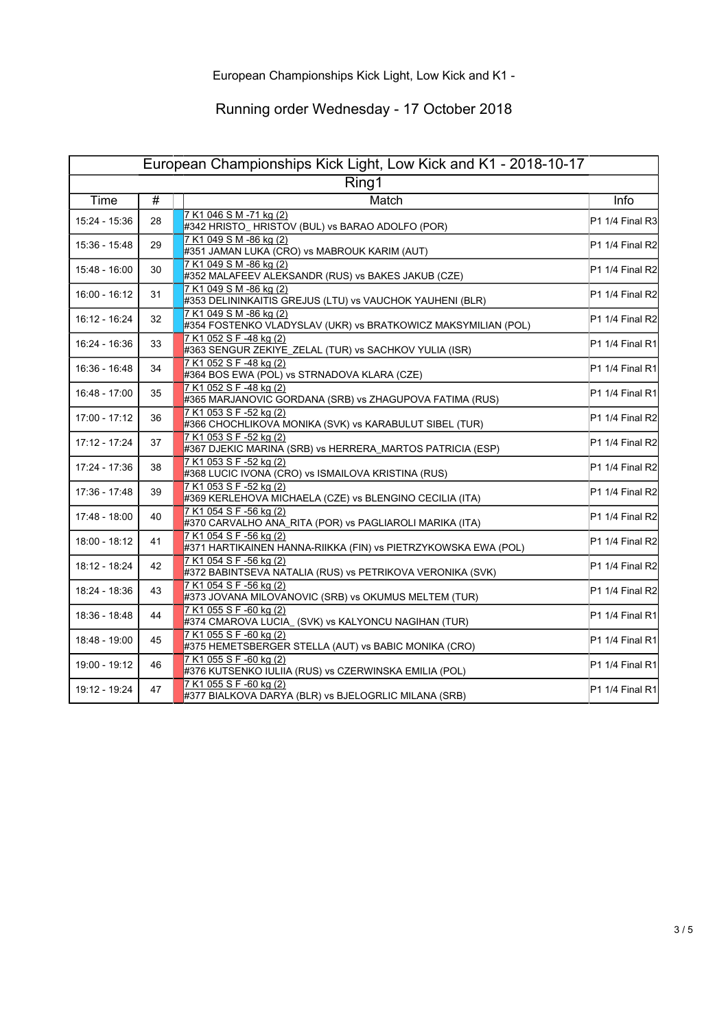| European Championships Kick Light, Low Kick and K1 - 2018-10-17 |                 |                                                                                           |                   |
|-----------------------------------------------------------------|-----------------|-------------------------------------------------------------------------------------------|-------------------|
| Ring1                                                           |                 |                                                                                           |                   |
| Time                                                            | $\overline{\#}$ | Match                                                                                     | Info              |
| 15:24 - 15:36                                                   | 28              | 7 K1 046 S M -71 kg (2)<br>#342 HRISTO_HRISTOV (BUL) vs BARAO ADOLFO (POR)                | P1 1/4 Final R3   |
| 15:36 - 15:48                                                   | 29              | 7 K1 049 S M -86 kg (2)<br>#351 JAMAN LUKA (CRO) vs MABROUK KARIM (AUT)                   | P1 1/4 Final R2   |
| 15:48 - 16:00                                                   | 30              | 7 K1 049 S M -86 kg (2)<br>#352 MALAFEEV ALEKSANDR (RUS) vs BAKES JAKUB (CZE)             | P1 1/4 Final R2   |
| 16:00 - 16:12                                                   | 31              | 7 K1 049 S M -86 kg (2)<br>#353 DELININKAITIS GREJUS (LTU) vs VAUCHOK YAUHENI (BLR)       | P1 1/4 Final R2   |
| 16:12 - 16:24                                                   | 32              | 7 K1 049 S M -86 kg (2)<br>#354 FOSTENKO VLADYSLAV (UKR) vs BRATKOWICZ MAKSYMILIAN (POL)  | P1 1/4 Final R2   |
| 16:24 - 16:36                                                   | 33              | 7 K1 052 S F -48 kg (2)<br>#363 SENGUR ZEKIYE_ZELAL (TUR) vs SACHKOV YULIA (ISR)          | $P1 1/4$ Final R1 |
| 16:36 - 16:48                                                   | 34              | 7 K1 052 S F -48 kg (2)<br>#364 BOS EWA (POL) vs STRNADOVA KLARA (CZE)                    | $P1 1/4$ Final R1 |
| 16:48 - 17:00                                                   | 35              | 7 K1 052 S F -48 kg (2)<br>#365 MARJANOVIC GORDANA (SRB) vs ZHAGUPOVA FATIMA (RUS)        | $P1 1/4$ Final R1 |
| 17:00 - 17:12                                                   | 36              | 7 K1 053 S F -52 kg (2)<br>#366 CHOCHLIKOVA MONIKA (SVK) vs KARABULUT SIBEL (TUR)         | P1 1/4 Final R2   |
| 17:12 - 17:24                                                   | 37              | 7 K1 053 S F -52 kg (2)<br>#367 DJEKIC MARINA (SRB) vs HERRERA_MARTOS PATRICIA (ESP)      | P1 1/4 Final R2   |
| 17:24 - 17:36                                                   | 38              | 7 K1 053 S F -52 kg (2)<br>#368 LUCIC IVONA (CRO) vs ISMAILOVA KRISTINA (RUS)             | P1 1/4 Final R2   |
| 17:36 - 17:48                                                   | 39              | 7 K1 053 S F -52 kg (2)<br>#369 KERLEHOVA MICHAELA (CZE) vs BLENGINO CECILIA (ITA)        | P1 1/4 Final R2   |
| 17:48 - 18:00                                                   | 40              | 7 K1 054 S F -56 kg (2)<br>#370 CARVALHO ANA_RITA (POR) vs PAGLIAROLI MARIKA (ITA)        | P1 1/4 Final R2   |
| 18:00 - 18:12                                                   | 41              | 7 K1 054 S F -56 kg (2)<br>#371 HARTIKAINEN HANNA-RIIKKA (FIN) vs PIETRZYKOWSKA EWA (POL) | P1 1/4 Final R2   |
| 18:12 - 18:24                                                   | 42              | 7 K1 054 S F -56 kg (2)<br>#372 BABINTSEVA NATALIA (RUS) vs PETRIKOVA VERONIKA (SVK)      | P1 1/4 Final R2   |
| 18:24 - 18:36                                                   | 43              | 7 K1 054 S F -56 kg (2)<br>#373 JOVANA MILOVANOVIC (SRB) vs OKUMUS MELTEM (TUR)           | P1 1/4 Final R2   |
| 18:36 - 18:48                                                   | 44              | 7 K1 055 S F -60 kg (2)<br>#374 CMAROVA LUCIA_ (SVK) vs KALYONCU NAGIHAN (TUR)            | $P1 1/4$ Final R1 |
| 18:48 - 19:00                                                   | 45              | 7 K1 055 S F -60 kg (2)<br>#375 HEMETSBERGER STELLA (AUT) vs BABIC MONIKA (CRO)           | $P1 1/4$ Final R1 |
| 19:00 - 19:12                                                   | 46              | 7 K1 055 S F -60 kg (2)<br>#376 KUTSENKO IULIIA (RUS) vs CZERWINSKA EMILIA (POL)          | $P1 1/4$ Final R1 |
| 19:12 - 19:24                                                   | 47              | 7 K1 055 S F -60 kg (2)<br>#377 BIALKOVA DARYA (BLR) vs BJELOGRLIC MILANA (SRB)           | P1 1/4 Final R1   |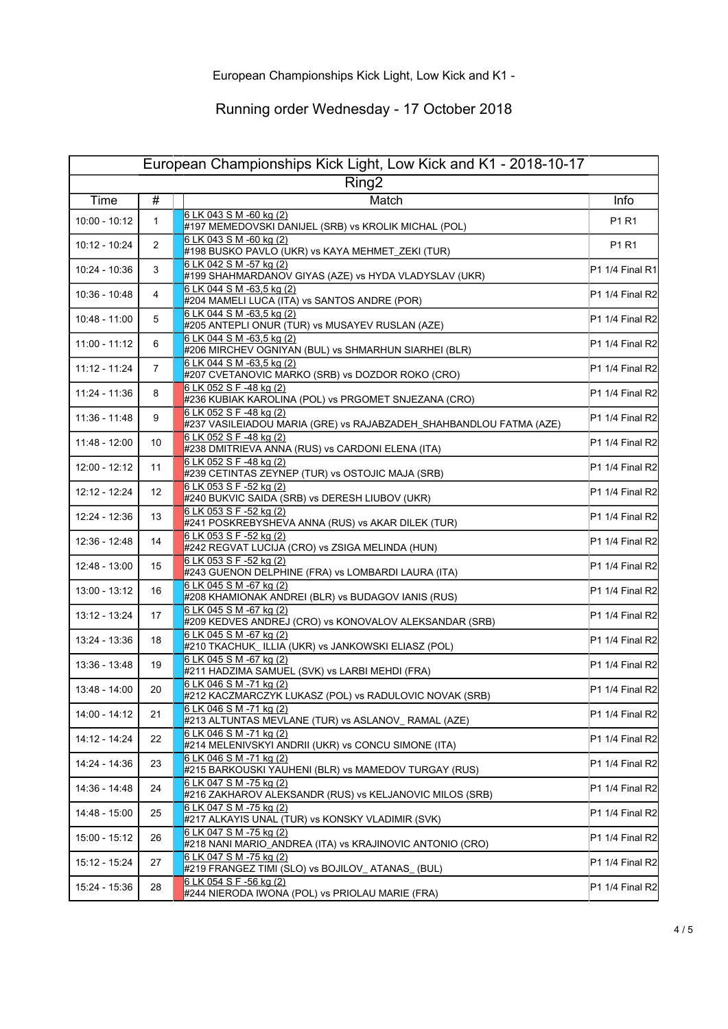| European Championships Kick Light, Low Kick and K1 - 2018-10-17 |                   |                                                                                               |                   |
|-----------------------------------------------------------------|-------------------|-----------------------------------------------------------------------------------------------|-------------------|
| Ring2                                                           |                   |                                                                                               |                   |
| Time                                                            | #                 | Match                                                                                         | <b>Info</b>       |
| $10:00 - 10:12$                                                 | $\mathbf{1}$      | 6 LK 043 S M -60 kg (2)<br>#197 MEMEDOVSKI DANIJEL (SRB) vs KROLIK MICHAL (POL)               | P1 R1             |
| 10:12 - 10:24                                                   | 2                 | 6 LK 043 S M -60 kg (2)<br>#198 BUSKO PAVLO (UKR) vs KAYA MEHMET_ZEKI (TUR)                   | P1 R1             |
| 10:24 - 10:36                                                   | 3                 | 6 LK 042 S M -57 kg (2)<br>#199 SHAHMARDANOV GIYAS (AZE) vs HYDA VLADYSLAV (UKR)              | $P1 1/4$ Final R1 |
| 10:36 - 10:48                                                   | 4                 | 6 LK 044 S M -63,5 kg (2)<br>#204 MAMELI LUCA (ITA) vs SANTOS ANDRE (POR)                     | P1 1/4 Final R2   |
| 10:48 - 11:00                                                   | 5                 | 6 LK 044 S M -63,5 kg (2)<br>#205 ANTEPLI ONUR (TUR) vs MUSAYEV RUSLAN (AZE)                  | P1 1/4 Final R2   |
| 11:00 - 11:12                                                   | 6                 | 6 LK 044 S M -63,5 kg (2)<br>#206 MIRCHEV OGNIYAN (BUL) vs SHMARHUN SIARHEI (BLR)             | P1 1/4 Final R2   |
| 11:12 - 11:24                                                   | $\overline{7}$    | 6 LK 044 S M -63,5 kg (2)<br>#207 CVETANOVIC MARKO (SRB) vs DOZDOR ROKO (CRO)                 | P1 1/4 Final R2   |
| 11:24 - 11:36                                                   | 8                 | 6 LK 052 S F -48 kg (2)<br>#236 KUBIAK KAROLINA (POL) vs PRGOMET SNJEZANA (CRO)               | P1 1/4 Final R2   |
| 11:36 - 11:48                                                   | 9                 | 6 LK 052 S F -48 kg (2)<br>#237 VASILEIADOU MARIA (GRE) vs RAJABZADEH_SHAHBANDLOU FATMA (AZE) | P1 1/4 Final R2   |
| 11:48 - 12:00                                                   | 10                | 6 LK 052 S F -48 kg (2)<br>#238 DMITRIEVA ANNA (RUS) vs CARDONI ELENA (ITA)                   | P1 1/4 Final R2   |
| 12:00 - 12:12                                                   | 11                | 6 LK 052 S F -48 kg (2)<br>#239 CETINTAS ZEYNEP (TUR) vs OSTOJIC MAJA (SRB)                   | P1 1/4 Final R2   |
| 12:12 - 12:24                                                   | $12 \overline{ }$ | 6 LK 053 S F -52 kg (2)<br>#240 BUKVIC SAIDA (SRB) vs DERESH LIUBOV (UKR)                     | IP1 1/4 Final R2I |
| 12:24 - 12:36                                                   | 13                | 6 LK 053 S F -52 kg (2)<br>#241 POSKREBYSHEVA ANNA (RUS) vs AKAR DILEK (TUR)                  | P1 1/4 Final R2   |
| 12:36 - 12:48                                                   | 14                | 6 LK 053 S F -52 kg (2)<br>#242 REGVAT LUCIJA (CRO) vs ZSIGA MELINDA (HUN)                    | P1 1/4 Final R2   |
| 12:48 - 13:00                                                   | 15                | 6 LK 053 S F -52 kg (2)<br>#243 GUENON DELPHINE (FRA) vs LOMBARDI LAURA (ITA)                 | P1 1/4 Final R2   |
| 13:00 - 13:12                                                   | 16                | 6 LK 045 S M -67 kg (2)<br>#208 KHAMIONAK ANDREI (BLR) vs BUDAGOV IANIS (RUS)                 | P1 1/4 Final R2   |
| 13:12 - 13:24                                                   | 17                | 6 LK 045 S M -67 kg (2)<br>#209 KEDVES ANDREJ (CRO) vs KONOVALOV ALEKSANDAR (SRB)             | P1 1/4 Final R2   |
| 13:24 - 13:36                                                   | 18                | 6 LK 045 S M -67 kg (2)<br>#210 TKACHUK_ ILLIA (UKR) vs JANKOWSKI ELIASZ (POL)                | P1 1/4 Final R2   |
| 13:36 - 13:48                                                   | 19                | 6 LK 045 S M -67 kg (2)<br>#211 HADZIMA SAMUEL (SVK) vs LARBI MEHDI (FRA)                     | P1 1/4 Final R2   |
| 13:48 - 14:00                                                   | 20                | 6 LK 046 S M -71 kg (2)<br>#212 KACZMARCZYK LUKASZ (POL) vs RADULOVIC NOVAK (SRB)             | P1 1/4 Final R2   |
| 14:00 - 14:12                                                   | 21                | 6 LK 046 S M-71 kg (2)<br>#213 ALTUNTAS MEVLANE (TUR) vs ASLANOV_RAMAL (AZE)                  | P1 1/4 Final R2   |
| 14:12 - 14:24                                                   | 22                | 6 LK 046 S M -71 kg (2)<br>#214 MELENIVSKYI ANDRII (UKR) vs CONCU SIMONE (ITA)                | P1 1/4 Final R2   |
| 14:24 - 14:36                                                   | 23                | 6 LK 046 S M -71 kg (2)<br>#215 BARKOUSKI YAUHENI (BLR) vs MAMEDOV TURGAY (RUS)               | P1 1/4 Final R2   |
| 14:36 - 14:48                                                   | 24                | 6 LK 047 S M -75 kg (2)<br>#216 ZAKHAROV ALEKSANDR (RUS) vs KELJANOVIC MILOS (SRB)            | P1 1/4 Final R2   |
| 14:48 - 15:00                                                   | 25                | 6 LK 047 S M -75 kg (2)<br>#217 ALKAYIS UNAL (TUR) vs KONSKY VLADIMIR (SVK)                   | P1 1/4 Final R2   |
| 15:00 - 15:12                                                   | 26                | 6 LK 047 S M -75 kg (2)<br>#218 NANI MARIO_ANDREA (ITA) vs KRAJINOVIC ANTONIO (CRO)           | P1 1/4 Final R2   |
| 15:12 - 15:24                                                   | 27                | 6 LK 047 S M -75 kg (2)<br>#219 FRANGEZ TIMI (SLO) vs BOJILOV_ATANAS_(BUL)                    | $P1 1/4$ Final R2 |
| 15:24 - 15:36                                                   | 28                | 6 LK 054 S F -56 kg (2)<br>#244 NIERODA IWONA (POL) vs PRIOLAU MARIE (FRA)                    | P1 1/4 Final R2   |